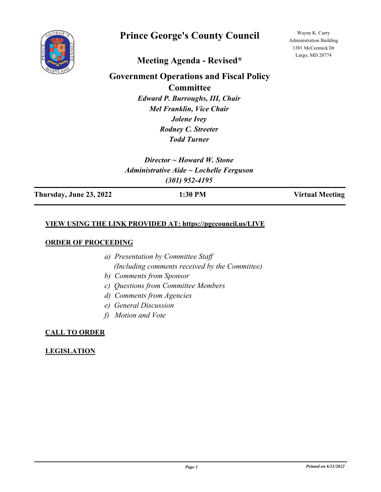

# **Prince George's County Council**

Wayne K. Curry Administration Building 1301 McCormick Dr Largo, MD 20774

# **Meeting Agenda - Revised\***

# **Government Operations and Fiscal Policy**

**Committee**

*Edward P. Burroughs, III, Chair Mel Franklin, Vice Chair Jolene Ivey Rodney C. Streeter Todd Turner*

*Director ~ Howard W. Stone Administrative Aide ~ Lochelle Ferguson (301) 952-4195*

**Thursday, June 23, 2022 1:30 PM Virtual Meeting**

### **VIEW USING THE LINK PROVIDED AT: https://pgccouncil.us/LIVE**

#### **ORDER OF PROCEEDING**

- *a) Presentation by Committee Staff (Including comments received by the Committee)*
- *b) Comments from Sponsor*
- *c) Questions from Committee Members*
- *d) Comments from Agencies*
- *e) General Discussion*
- *f) Motion and Vote*

# **CALL TO ORDER**

# **LEGISLATION**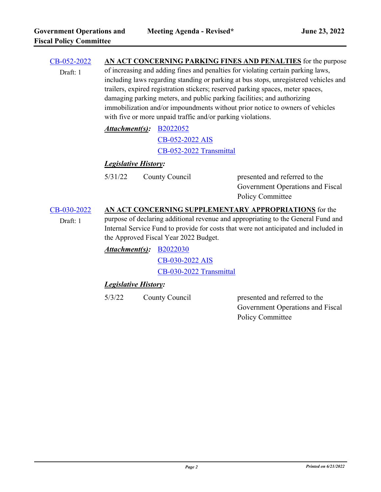| CB-052-2022<br>Draft: 1 | AN ACT CONCERNING PARKING FINES AND PENALTIES for the purpose<br>of increasing and adding fines and penalties for violating certain parking laws,<br>including laws regarding standing or parking at bus stops, unregistered vehicles and<br>trailers, expired registration stickers; reserved parking spaces, meter spaces,<br>damaging parking meters, and public parking facilities; and authorizing<br>immobilization and/or impoundments without prior notice to owners of vehicles<br>with five or more unpaid traffic and/or parking violations. |                                                        |                                                                                              |  |  |
|-------------------------|---------------------------------------------------------------------------------------------------------------------------------------------------------------------------------------------------------------------------------------------------------------------------------------------------------------------------------------------------------------------------------------------------------------------------------------------------------------------------------------------------------------------------------------------------------|--------------------------------------------------------|----------------------------------------------------------------------------------------------|--|--|
|                         |                                                                                                                                                                                                                                                                                                                                                                                                                                                                                                                                                         | <b>Attachment(s): B2022052</b>                         |                                                                                              |  |  |
|                         |                                                                                                                                                                                                                                                                                                                                                                                                                                                                                                                                                         | CB-052-2022 AIS                                        |                                                                                              |  |  |
|                         |                                                                                                                                                                                                                                                                                                                                                                                                                                                                                                                                                         | CB-052-2022 Transmittal                                |                                                                                              |  |  |
|                         | <b>Legislative History:</b>                                                                                                                                                                                                                                                                                                                                                                                                                                                                                                                             |                                                        |                                                                                              |  |  |
|                         | 5/31/22                                                                                                                                                                                                                                                                                                                                                                                                                                                                                                                                                 | County Council                                         | presented and referred to the<br>Government Operations and Fiscal<br><b>Policy Committee</b> |  |  |
| CB-030-2022             |                                                                                                                                                                                                                                                                                                                                                                                                                                                                                                                                                         | AN ACT CONCERNING SUPPLEMENTARY APPROPRIATIONS for the |                                                                                              |  |  |
| Draft: 1                | purpose of declaring additional revenue and appropriating to the General Fund and<br>Internal Service Fund to provide for costs that were not anticipated and included in<br>the Approved Fiscal Year 2022 Budget.                                                                                                                                                                                                                                                                                                                                      |                                                        |                                                                                              |  |  |
|                         | Attachment(s):<br><b>B2022030</b>                                                                                                                                                                                                                                                                                                                                                                                                                                                                                                                       |                                                        |                                                                                              |  |  |
|                         |                                                                                                                                                                                                                                                                                                                                                                                                                                                                                                                                                         | CB-030-2022 AIS                                        |                                                                                              |  |  |
|                         |                                                                                                                                                                                                                                                                                                                                                                                                                                                                                                                                                         | CB-030-2022 Transmittal                                |                                                                                              |  |  |
|                         | <b>Legislative History:</b>                                                                                                                                                                                                                                                                                                                                                                                                                                                                                                                             |                                                        |                                                                                              |  |  |
|                         | 5/3/22                                                                                                                                                                                                                                                                                                                                                                                                                                                                                                                                                  | County Council                                         | presented and referred to the                                                                |  |  |
|                         |                                                                                                                                                                                                                                                                                                                                                                                                                                                                                                                                                         |                                                        | Government Operations and Fiscal                                                             |  |  |
|                         |                                                                                                                                                                                                                                                                                                                                                                                                                                                                                                                                                         |                                                        | Policy Committee                                                                             |  |  |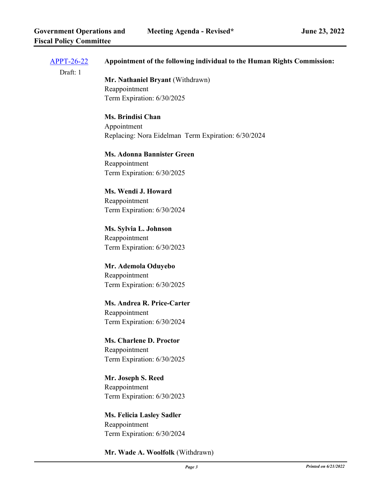| <u>APPT-26-22</u> | Appointment of the following individual to the Human Rights Commission: |  |  |  |
|-------------------|-------------------------------------------------------------------------|--|--|--|
| Draft: 1          | Mr. Nathaniel Bryant (Withdrawn)                                        |  |  |  |
|                   | Reappointment                                                           |  |  |  |
|                   | Term Expiration: 6/30/2025                                              |  |  |  |
|                   | <b>Ms. Brindisi Chan</b>                                                |  |  |  |
|                   | Appointment                                                             |  |  |  |
|                   | Replacing: Nora Eidelman Term Expiration: 6/30/2024                     |  |  |  |
|                   | <b>Ms. Adonna Bannister Green</b>                                       |  |  |  |
|                   | Reappointment                                                           |  |  |  |
|                   | Term Expiration: 6/30/2025                                              |  |  |  |
|                   | Ms. Wendi J. Howard                                                     |  |  |  |
|                   | Reappointment                                                           |  |  |  |
|                   | Term Expiration: 6/30/2024                                              |  |  |  |
|                   | Ms. Sylvia L. Johnson                                                   |  |  |  |
|                   | Reappointment                                                           |  |  |  |
|                   | Term Expiration: 6/30/2023                                              |  |  |  |
|                   | Mr. Ademola Oduyebo                                                     |  |  |  |
|                   | Reappointment                                                           |  |  |  |
|                   | Term Expiration: 6/30/2025                                              |  |  |  |
|                   | Ms. Andrea R. Price-Carter                                              |  |  |  |
|                   | Reappointment                                                           |  |  |  |
|                   | Term Expiration: 6/30/2024                                              |  |  |  |
|                   | <b>Ms. Charlene D. Proctor</b>                                          |  |  |  |
|                   | Reappointment                                                           |  |  |  |
|                   | Term Expiration: 6/30/2025                                              |  |  |  |
|                   | Mr. Joseph S. Reed                                                      |  |  |  |
|                   | Reappointment                                                           |  |  |  |
|                   | Term Expiration: 6/30/2023                                              |  |  |  |
|                   | <b>Ms. Felicia Lasley Sadler</b>                                        |  |  |  |
|                   | Reappointment                                                           |  |  |  |
|                   | Term Expiration: 6/30/2024                                              |  |  |  |

**Mr. Wade A. Woolfolk** (Withdrawn)